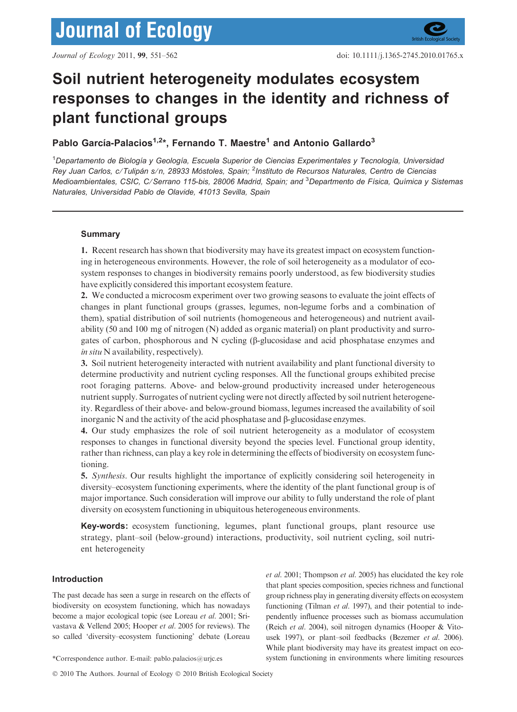# Soil nutrient heterogeneity modulates ecosystem responses to changes in the identity and richness of plant functional groups

## Pablo García-Palacios<sup>1,2\*</sup>, Fernando T. Maestre<sup>1</sup> and Antonio Gallardo<sup>3</sup>

<sup>1</sup>Departamento de Biología y Geología, Escuela Superior de Ciencias Experimentales y Tecnología, Universidad Rey Juan Carlos, c⁄Tulipán s⁄n, 28933 Móstoles, Spain; <sup>2</sup>Instituto de Recursos Naturales, Centro de Ciencias Medioambientales, CSIC, C/Serrano 115-bis, 28006 Madrid, Spain; and <sup>3</sup>Departmento de Física, Química y Sistemas Naturales, Universidad Pablo de Olavide, 41013 Sevilla, Spain

## Summary

1. Recent research has shown that biodiversity may have its greatest impact on ecosystem functioning in heterogeneous environments. However, the role of soil heterogeneity as a modulator of ecosystem responses to changes in biodiversity remains poorly understood, as few biodiversity studies have explicitly considered this important ecosystem feature.

2. We conducted a microcosm experiment over two growing seasons to evaluate the joint effects of changes in plant functional groups (grasses, legumes, non-legume forbs and a combination of them), spatial distribution of soil nutrients (homogeneous and heterogeneous) and nutrient availability (50 and 100 mg of nitrogen (N) added as organic material) on plant productivity and surrogates of carbon, phosphorous and  $N$  cycling ( $\beta$ -glucosidase and acid phosphatase enzymes and in situ N availability, respectively).

3. Soil nutrient heterogeneity interacted with nutrient availability and plant functional diversity to determine productivity and nutrient cycling responses. All the functional groups exhibited precise root foraging patterns. Above- and below-ground productivity increased under heterogeneous nutrient supply. Surrogates of nutrient cycling were not directly affected by soil nutrient heterogeneity. Regardless of their above- and below-ground biomass, legumes increased the availability of soil inorganic N and the activity of the acid phosphatase and  $\beta$ -glucosidase enzymes.

4. Our study emphasizes the role of soil nutrient heterogeneity as a modulator of ecosystem responses to changes in functional diversity beyond the species level. Functional group identity, rather than richness, can play a key role in determining the effects of biodiversity on ecosystem functioning.

5. Synthesis. Our results highlight the importance of explicitly considering soil heterogeneity in diversity–ecosystem functioning experiments, where the identity of the plant functional group is of major importance. Such consideration will improve our ability to fully understand the role of plant diversity on ecosystem functioning in ubiquitous heterogeneous environments.

Key-words: ecosystem functioning, legumes, plant functional groups, plant resource use strategy, plant–soil (below-ground) interactions, productivity, soil nutrient cycling, soil nutrient heterogeneity

#### Introduction

The past decade has seen a surge in research on the effects of biodiversity on ecosystem functioning, which has nowadays become a major ecological topic (see Loreau et al. 2001; Srivastava & Vellend 2005; Hooper et al. 2005 for reviews). The so called 'diversity–ecosystem functioning' debate (Loreau

et al. 2001; Thompson et al. 2005) has elucidated the key role that plant species composition, species richness and functional group richness play in generating diversity effects on ecosystem functioning (Tilman et al. 1997), and their potential to independently influence processes such as biomass accumulation (Reich et al. 2004), soil nitrogen dynamics (Hooper & Vitousek 1997), or plant–soil feedbacks (Bezemer et al. 2006). While plant biodiversity may have its greatest impact on eco- \*Correspondence author. E-mail: pablo.palacios@urjc.es system functioning in environments where limiting resources

<sup>© 2010</sup> The Authors. Journal of Ecology © 2010 British Ecological Society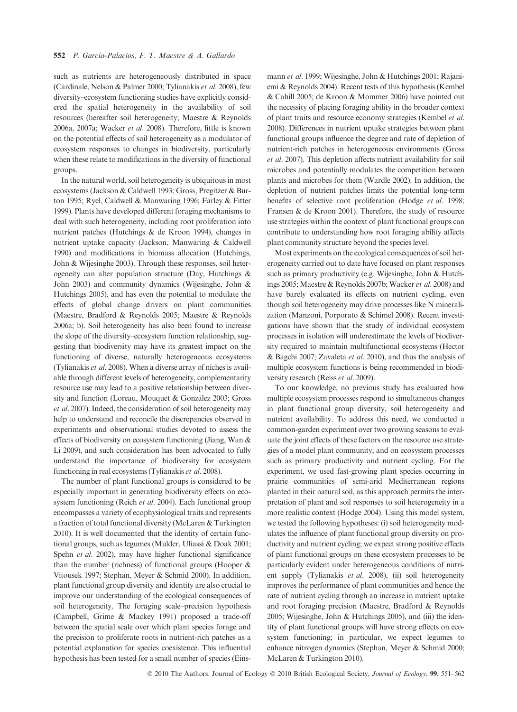such as nutrients are heterogeneously distributed in space (Cardinale, Nelson & Palmer 2000; Tylianakis et al. 2008), few diversity–ecosystem functioning studies have explicitly considered the spatial heterogeneity in the availability of soil resources (hereafter soil heterogeneity; Maestre & Reynolds 2006a, 2007a; Wacker et al. 2008). Therefore, little is known on the potential effects of soil heterogeneity as a modulator of ecosystem responses to changes in biodiversity, particularly when these relate to modifications in the diversity of functional groups.

In the natural world, soil heterogeneity is ubiquitous in most ecosystems (Jackson & Caldwell 1993; Gross, Pregitzer & Burton 1995; Ryel, Caldwell & Manwaring 1996; Farley & Fitter 1999). Plants have developed different foraging mechanisms to deal with such heterogeneity, including root proliferation into nutrient patches (Hutchings & de Kroon 1994), changes in nutrient uptake capacity (Jackson, Manwaring & Caldwell 1990) and modifications in biomass allocation (Hutchings, John & Wijesinghe 2003). Through these responses, soil heterogeneity can alter population structure (Day, Hutchings & John 2003) and community dynamics (Wijesinghe, John & Hutchings 2005), and has even the potential to modulate the effects of global change drivers on plant communities (Maestre, Bradford & Reynolds 2005; Maestre & Reynolds 2006a; b). Soil heterogeneity has also been found to increase the slope of the diversity–ecosystem function relationship, suggesting that biodiversity may have its greatest impact on the functioning of diverse, naturally heterogeneous ecosystems (Tylianakis et al. 2008). When a diverse array of niches is available through different levels of heterogeneity, complementarity resource use may lead to a positive relationship between diversity and function (Loreau, Mouquet & González 2003; Gross et al. 2007). Indeed, the consideration of soil heterogeneity may help to understand and reconcile the discrepancies observed in experiments and observational studies devoted to assess the effects of biodiversity on ecosystem functioning (Jiang, Wan & Li 2009), and such consideration has been advocated to fully understand the importance of biodiversity for ecosystem functioning in real ecosystems (Tylianakis et al. 2008).

The number of plant functional groups is considered to be especially important in generating biodiversity effects on ecosystem functioning (Reich et al. 2004). Each functional group encompasses a variety of ecophysiological traits and represents a fraction of total functional diversity (McLaren & Turkington 2010). It is well documented that the identity of certain functional groups, such as legumes (Mulder, Uliassi & Doak 2001; Spehn et al. 2002), may have higher functional significance than the number (richness) of functional groups (Hooper  $\&$ Vitousek 1997; Stephan, Meyer & Schmid 2000). In addition, plant functional group diversity and identity are also crucial to improve our understanding of the ecological consequences of soil heterogeneity. The foraging scale–precision hypothesis (Campbell, Grime & Mackey 1991) proposed a trade-off between the spatial scale over which plant species forage and the precision to proliferate roots in nutrient-rich patches as a potential explanation for species coexistence. This influential hypothesis has been tested for a small number of species (Einsmann et al. 1999; Wijesinghe, John & Hutchings 2001; Rajaniemi & Reynolds 2004). Recent tests of this hypothesis (Kembel & Cahill 2005; de Kroon & Mommer 2006) have pointed out the necessity of placing foraging ability in the broader context of plant traits and resource economy strategies (Kembel et al. 2008). Differences in nutrient uptake strategies between plant functional groups influence the degree and rate of depletion of nutrient-rich patches in heterogeneous environments (Gross et al. 2007). This depletion affects nutrient availability for soil microbes and potentially modulates the competition between plants and microbes for them (Wardle 2002). In addition, the depletion of nutrient patches limits the potential long-term benefits of selective root proliferation (Hodge et al. 1998; Fransen & de Kroon 2001). Therefore, the study of resource use strategies within the context of plant functional groups can contribute to understanding how root foraging ability affects plant community structure beyond the species level.

Most experiments on the ecological consequences of soil heterogeneity carried out to date have focused on plant responses such as primary productivity (e.g. Wijesinghe, John & Hutchings 2005; Maestre & Reynolds 2007b; Wacker et al. 2008) and have barely evaluated its effects on nutrient cycling, even though soil heterogeneity may drive processes like N mineralization (Manzoni, Porporato & Schimel 2008). Recent investigations have shown that the study of individual ecosystem processes in isolation will underestimate the levels of biodiversity required to maintain multifunctional ecosystems (Hector & Bagchi 2007; Zavaleta et al. 2010), and thus the analysis of multiple ecosystem functions is being recommended in biodiversity research (Reiss et al. 2009).

To our knowledge, no previous study has evaluated how multiple ecosystem processes respond to simultaneous changes in plant functional group diversity, soil heterogeneity and nutrient availability. To address this need, we conducted a common-garden experiment over two growing seasons to evaluate the joint effects of these factors on the resource use strategies of a model plant community, and on ecosystem processes such as primary productivity and nutrient cycling. For the experiment, we used fast-growing plant species occurring in prairie communities of semi-arid Mediterranean regions planted in their natural soil, as this approach permits the interpretation of plant and soil responses to soil heterogeneity in a more realistic context (Hodge 2004). Using this model system, we tested the following hypotheses: (i) soil heterogeneity modulates the influence of plant functional group diversity on productivity and nutrient cycling; we expect strong positive effects of plant functional groups on these ecosystem processes to be particularly evident under heterogeneous conditions of nutrient supply (Tylianakis et al. 2008), (ii) soil heterogeneity improves the performance of plant communities and hence the rate of nutrient cycling through an increase in nutrient uptake and root foraging precision (Maestre, Bradford & Reynolds 2005; Wijesinghe, John & Hutchings 2005), and (iii) the identity of plant functional groups will have strong effects on ecosystem functioning; in particular, we expect legumes to enhance nitrogen dynamics (Stephan, Meyer & Schmid 2000; McLaren & Turkington 2010).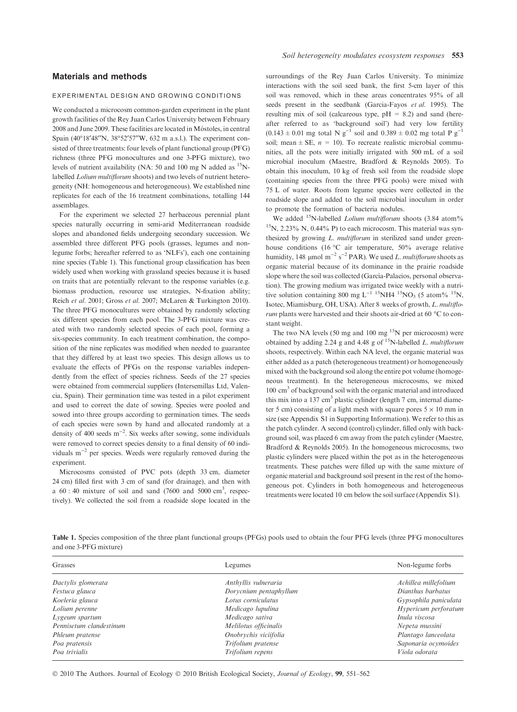#### Materials and methods

## EXPERIMENTAL DESIGN AND GROWING CONDITIONS

We conducted a microcosm common-garden experiment in the plant growth facilities of the Rey Juan Carlos University between February 2008 and June 2009. These facilities are located in Móstoles, in central Spain (40°18′48″N, 38°52′57″W, 632 m a.s.l.). The experiment consisted of three treatments: four levels of plant functional group (PFG) richness (three PFG monocultures and one 3-PFG mixture), two levels of nutrient availability (NA: 50 and 100 mg N added as  $\rm ^{15}N$ labelled Lolium multiflorum shoots) and two levels of nutrient heterogeneity (NH: homogeneous and heterogeneous). We established nine replicates for each of the 16 treatment combinations, totalling 144 assemblages.

For the experiment we selected 27 herbaceous perennial plant species naturally occurring in semi-arid Mediterranean roadside slopes and abandoned fields undergoing secondary succession. We assembled three different PFG pools (grasses, legumes and nonlegume forbs; hereafter referred to as 'NLFs'), each one containing nine species (Table 1). This functional group classification has been widely used when working with grassland species because it is based on traits that are potentially relevant to the response variables (e.g. biomass production, resource use strategies, N-fixation ability; Reich et al. 2001; Gross et al. 2007; McLaren & Turkington 2010). The three PFG monocultures were obtained by randomly selecting six different species from each pool. The 3-PFG mixture was created with two randomly selected species of each pool, forming a six-species community. In each treatment combination, the composition of the nine replicates was modified when needed to guarantee that they differed by at least two species. This design allows us to evaluate the effects of PFGs on the response variables independently from the effect of species richness. Seeds of the 27 species were obtained from commercial suppliers (Intersemillas Ltd, Valencia, Spain). Their germination time was tested in a pilot experiment and used to correct the date of sowing. Species were pooled and sowed into three groups according to germination times. The seeds of each species were sown by hand and allocated randomly at a density of 400 seeds  $m^{-2}$ . Six weeks after sowing, some individuals were removed to correct species density to a final density of 60 individuals  $m^{-2}$  per species. Weeds were regularly removed during the experiment.

Microcosms consisted of PVC pots (depth 33 cm, diameter 24 cm) filled first with 3 cm of sand (for drainage), and then with a  $60:40$  mixture of soil and sand (7600 and 5000 cm<sup>3</sup>, respectively). We collected the soil from a roadside slope located in the

surroundings of the Rey Juan Carlos University. To minimize interactions with the soil seed bank, the first 5-cm layer of this soil was removed, which in these areas concentrates 95% of all seeds present in the seedbank (Garcia-Fayos et al. 1995). The resulting mix of soil (calcareous type,  $pH = 8.2$ ) and sand (hereafter referred to as 'background soil') had very low fertility  $(0.143 \pm 0.01 \text{ mg}$  total N g<sup>-1</sup> soil and  $0.389 \pm 0.02 \text{ mg}$  total P g<sup>-1</sup> soil; mean  $\pm$  SE,  $n = 10$ ). To recreate realistic microbial communities, all the pots were initially irrigated with 500 mL of a soil microbial inoculum (Maestre, Bradford & Reynolds 2005). To obtain this inoculum, 10 kg of fresh soil from the roadside slope (containing species from the three PFG pools) were mixed with 75 L of water. Roots from legume species were collected in the roadside slope and added to the soil microbial inoculum in order to promote the formation of bacteria nodules.

We added <sup>15</sup>N-labelled *Lolium multiflorum* shoots (3.84 atom%  $15N$ , 2.23% N, 0.44% P) to each microcosm. This material was synthesized by growing L. multiflorum in sterilized sand under greenhouse conditions (16 °C air temperature, 50% average relative humidity, 148  $\mu$ mol m<sup>-2</sup> s<sup>-2</sup> PAR). We used *L. multiflorum* shoots as organic material because of its dominance in the prairie roadside slope where the soil was collected (García-Palacios, personal observation). The growing medium was irrigated twice weekly with a nutritive solution containing 800 mg L<sup>-1 15</sup>NH4 <sup>15</sup>NO<sub>3</sub> (5 atom% <sup>15</sup>N, Isotec, Miamisburg, OH, USA). After 8 weeks of growth, L. multiflorum plants were harvested and their shoots air-dried at 60  $^{\circ}$ C to constant weight.

The two NA levels (50 mg and 100 mg  $^{15}N$  per microcosm) were obtained by adding 2.24 g and 4.48 g of  $^{15}N$ -labelled *L. multiflorum* shoots, respectively. Within each NA level, the organic material was either added as a patch (heterogeneous treatment) or homogeneously mixed with the background soil along the entire pot volume (homogeneous treatment). In the heterogeneous microcosms, we mixed 100 cm<sup>3</sup> of background soil with the organic material and introduced this mix into a 137  $\text{cm}^3$  plastic cylinder (length 7  $\text{cm}$ , internal diameter 5 cm) consisting of a light mesh with square pores  $5 \times 10$  mm in size (see Appendix S1 in Supporting Information). We refer to this as the patch cylinder. A second (control) cylinder, filled only with background soil, was placed 6 cm away from the patch cylinder (Maestre, Bradford & Reynolds 2005). In the homogeneous microcosms, two plastic cylinders were placed within the pot as in the heterogeneous treatments. These patches were filled up with the same mixture of organic material and background soil present in the rest of the homogeneous pot. Cylinders in both homogeneous and heterogeneous treatments were located 10 cm below the soil surface (Appendix S1).

Table 1. Species composition of the three plant functional groups (PFGs) pools used to obtain the four PFG levels (three PFG monocultures and one 3-PFG mixture)

| Grasses                 | Legumes                | Non-legume forbs      |
|-------------------------|------------------------|-----------------------|
| Dactylis glomerata      | Anthyllis vulneraria   | Achillea millefolium  |
| Festuca glauca          | Dorycnium pentaphyllum | Dianthus barbatus     |
| Koeleria glauca         | Lotus corniculatus     | Gypsophila paniculata |
| Lolium perenne          | Medicago lupulina      | Hypericum perforatum  |
| Lygeum spartum          | Medicago sativa        | Inula viscosa         |
| Pennisetum clandestinum | Melilotus officinalis  | Nepeta mussini        |
| Phleum pratense         | Onobrychis viciifolia  | Plantago lanceolata   |
| Poa pratensis           | Trifolium pratense     | Saponaria ocymoides   |
| Poa trivialis           | Trifolium repens       | Viola odorata         |

© 2010 The Authors. Journal of Ecology © 2010 British Ecological Society, Journal of Ecology, 99, 551–562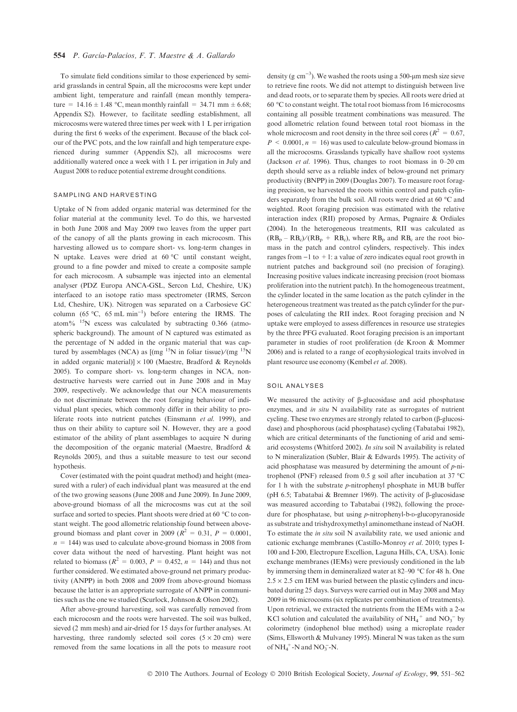To simulate field conditions similar to those experienced by semiarid grasslands in central Spain, all the microcosms were kept under ambient light, temperature and rainfall (mean monthly temperature = 14.16  $\pm$  1.48 °C, mean monthly rainfall = 34.71 mm  $\pm$  6.68; Appendix S2). However, to facilitate seedling establishment, all microcosms were watered three times per week with 1 L per irrigation during the first 6 weeks of the experiment. Because of the black colour of the PVC pots, and the low rainfall and high temperature experienced during summer (Appendix S2), all microcosms were additionally watered once a week with 1 L per irrigation in July and August 2008 to reduce potential extreme drought conditions.

#### SAMPLING AND HARVESTING

Uptake of N from added organic material was determined for the foliar material at the community level. To do this, we harvested in both June 2008 and May 2009 two leaves from the upper part of the canopy of all the plants growing in each microcosm. This harvesting allowed us to compare short- vs. long-term changes in N uptake. Leaves were dried at 60 °C until constant weight, ground to a fine powder and mixed to create a composite sample for each microcosm. A subsample was injected into an elemental analyser (PDZ Europa ANCA-GSL, Sercon Ltd, Cheshire, UK) interfaced to an isotope ratio mass spectrometer (IRMS, Sercon Ltd, Cheshire, UK). Nitrogen was separated on a Carbosieve GC column (65 °C, 65 mL min<sup>-1</sup>) before entering the IRMS. The atom% 15N excess was calculated by subtracting 0.366 (atmospheric background). The amount of N captured was estimated as the percentage of N added in the organic material that was captured by assemblages (NCA) as  $[(mg^{15}N \text{ in foliar tissue})/(mg^{15}N$ in added organic material)]  $\times$  100 (Maestre, Bradford & Reynolds 2005). To compare short- vs. long-term changes in NCA, nondestructive harvests were carried out in June 2008 and in May 2009, respectively. We acknowledge that our NCA measurements do not discriminate between the root foraging behaviour of individual plant species, which commonly differ in their ability to proliferate roots into nutrient patches (Einsmann et al. 1999), and thus on their ability to capture soil N. However, they are a good estimator of the ability of plant assemblages to acquire N during the decomposition of the organic material (Maestre, Bradford & Reynolds 2005), and thus a suitable measure to test our second hypothesis.

Cover (estimated with the point quadrat method) and height (measured with a ruler) of each individual plant was measured at the end of the two growing seasons (June 2008 and June 2009). In June 2009, above-ground biomass of all the microcosms was cut at the soil surface and sorted to species. Plant shoots were dried at 60  $^{\circ}$ C to constant weight. The good allometric relationship found between aboveground biomass and plant cover in 2009 ( $R^2 = 0.31$ ,  $P = 0.0001$ ,  $n = 144$ ) was used to calculate above-ground biomass in 2008 from cover data without the need of harvesting. Plant height was not related to biomass ( $R^2 = 0.003$ ,  $P = 0.452$ ,  $n = 144$ ) and thus not further considered. We estimated above-ground net primary productivity (ANPP) in both 2008 and 2009 from above-ground biomass because the latter is an appropriate surrogate of ANPP in communities such as the one we studied (Scurlock, Johnson & Olson 2002).

After above-ground harvesting, soil was carefully removed from each microcosm and the roots were harvested. The soil was bulked, sieved (2 mm mesh) and air-dried for 15 days for further analyses. At harvesting, three randomly selected soil cores  $(5 \times 20 \text{ cm})$  were removed from the same locations in all the pots to measure root

density (g  $\text{cm}^{-3}$ ). We washed the roots using a 500-µm mesh size sieve to retrieve fine roots. We did not attempt to distinguish between live and dead roots, or to separate them by species. All roots were dried at  $60^{\circ}$ C to constant weight. The total root biomass from 16 microcosms containing all possible treatment combinations was measured. The good allometric relation found between total root biomass in the whole microcosm and root density in the three soil cores ( $R^2 = 0.67$ ,  $P \le 0.0001$ ,  $n = 16$ ) was used to calculate below-ground biomass in all the microcosms. Grasslands typically have shallow root systems (Jackson *et al.* 1996). Thus, changes to root biomass in  $0-20$  cm depth should serve as a reliable index of below-ground net primary productivity (BNPP) in 2009 (Douglas 2007). To measure root foraging precision, we harvested the roots within control and patch cylinders separately from the bulk soil. All roots were dried at 60  $^{\circ}$ C and weighted. Root foraging precision was estimated with the relative interaction index (RII) proposed by Armas, Pugnaire & Ordiales (2004). In the heterogeneous treatments, RII was calculated as  $(RB_p - RB_c)/(RB_p + RB_c)$ , where  $RB_p$  and  $RB_c$  are the root biomass in the patch and control cylinders, respectively. This index ranges from  $-1$  to  $+1$ : a value of zero indicates equal root growth in nutrient patches and background soil (no precision of foraging). Increasing positive values indicate increasing precision (root biomass proliferation into the nutrient patch). In the homogeneous treatment, the cylinder located in the same location as the patch cylinder in the heterogeneous treatment was treated as the patch cylinder for the purposes of calculating the RII index. Root foraging precision and N uptake were employed to assess differences in resource use strategies by the three PFG evaluated. Root foraging precision is an important parameter in studies of root proliferation (de Kroon & Mommer 2006) and is related to a range of ecophysiological traits involved in plant resource use economy (Kembel et al. 2008).

#### SOIL ANALYSES

We measured the activity of  $\beta$ -glucosidase and acid phosphatase enzymes, and in situ N availability rate as surrogates of nutrient cycling. These two enzymes are strongly related to carbon  $(\beta$ -glucosidase) and phosphorous (acid phosphatase) cycling (Tabatabai 1982), which are critical determinants of the functioning of arid and semiarid ecosystems (Whitford 2002). In situ soil N availability is related to N mineralization (Subler, Blair & Edwards 1995). The activity of acid phosphatase was measured by determining the amount of  $p$ -nitrophenol (PNF) released from 0.5 g soil after incubation at 37  $^{\circ}$ C for 1 h with the substrate p-nitrophenyl phosphate in MUB buffer (pH 6.5; Tabatabai & Bremner 1969). The activity of  $\beta$ -glucosidase was measured according to Tabatabai (1982), following the procedure for phosphatase, but using  $p$ -nitrophenyl-b- $p$ -glucopyranoside as substrate and trishydroxymethyl aminomethane instead of NaOH. To estimate the in situ soil N availability rate, we used anionic and cationic exchange membranes (Castillo-Monroy et al. 2010; types I-100 and I-200, Electropure Excellion, Laguna Hills, CA, USA). Ionic exchange membranes (IEMs) were previously conditioned in the lab by immersing them in demineralized water at 82–90  $\degree$ C for 48 h. One  $2.5 \times 2.5$  cm IEM was buried between the plastic cylinders and incubated during 25 days. Surveys were carried out in May 2008 and May 2009 in 96 microcosms (six replicates per combination of treatments). Upon retrieval, we extracted the nutrients from the IEMs with a 2-m KCl solution and calculated the availability of  $NH_4^+$  and  $NO_3^-$  by colorimetry (indophenol blue method) using a microplate reader (Sims, Ellsworth & Mulvaney 1995). Mineral N was taken as the sum of  $NH_4^+$ -N and NO<sub>3</sub>-N.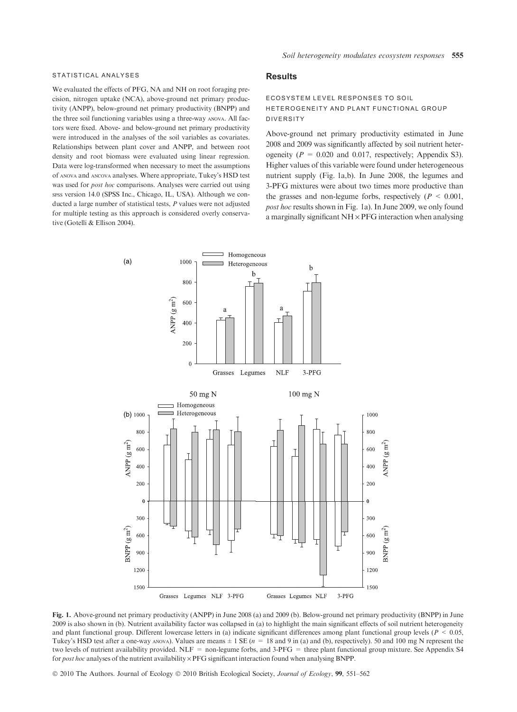#### STATISTICAL ANALYSES

We evaluated the effects of PFG, NA and NH on root foraging precision, nitrogen uptake (NCA), above-ground net primary productivity (ANPP), below-ground net primary productivity (BNPP) and the three soil functioning variables using a three-way anova. All factors were fixed. Above- and below-ground net primary productivity were introduced in the analyses of the soil variables as covariates. Relationships between plant cover and ANPP, and between root density and root biomass were evaluated using linear regression. Data were log-transformed when necessary to meet the assumptions of anova and ancova analyses. Where appropriate, Tukey's HSD test was used for *post hoc* comparisons. Analyses were carried out using spss version 14.0 (SPSS Inc., Chicago, IL, USA). Although we conducted a large number of statistical tests, P values were not adjusted for multiple testing as this approach is considered overly conservative (Gotelli & Ellison 2004).

#### **Results**

## ECOSYSTEM LEVEL RESPONSES TO SOIL HETEROGENEITY AND PLANT FUNCTIONAL GROUP DIVERSITY

Above-ground net primary productivity estimated in June 2008 and 2009 was significantly affected by soil nutrient heterogeneity ( $P = 0.020$  and 0.017, respectively; Appendix S3). Higher values of this variable were found under heterogeneous nutrient supply (Fig. 1a,b). In June 2008, the legumes and 3-PFG mixtures were about two times more productive than the grasses and non-legume forbs, respectively ( $P \le 0.001$ , post hoc results shown in Fig. 1a). In June 2009, we only found a marginally significant  $NH \times PFG$  interaction when analysing



Fig. 1. Above-ground net primary productivity (ANPP) in June 2008 (a) and 2009 (b). Below-ground net primary productivity (BNPP) in June 2009 is also shown in (b). Nutrient availability factor was collapsed in (a) to highlight the main significant effects of soil nutrient heterogeneity and plant functional group. Different lowercase letters in (a) indicate significant differences among plant functional group levels ( $P < 0.05$ , Tukey's HSD test after a one-way ANOVA). Values are means  $\pm 1$  SE ( $n = 18$  and 9 in (a) and (b), respectively). 50 and 100 mg N represent the two levels of nutrient availability provided. NLF = non-legume forbs, and 3-PFG = three plant functional group mixture. See Appendix S4 for *post hoc* analyses of the nutrient availability  $\times$  PFG significant interaction found when analysing BNPP.

© 2010 The Authors. Journal of Ecology © 2010 British Ecological Society, Journal of Ecology, 99, 551–562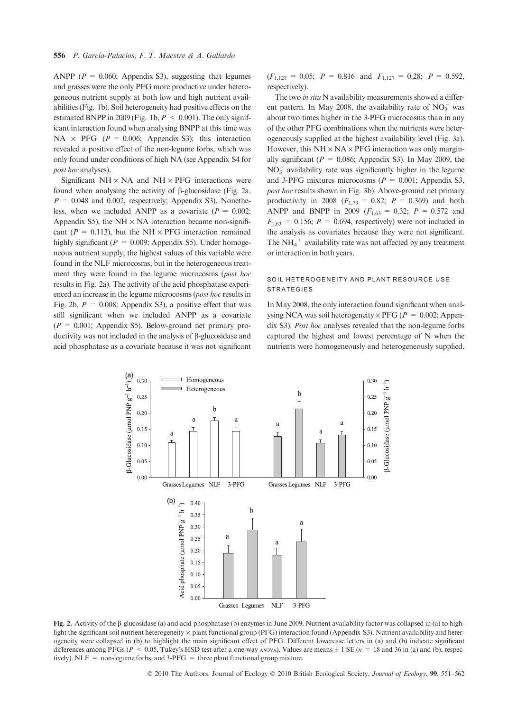ANPP ( $P = 0.060$ ; Appendix S3), suggesting that legumes and grasses were the only PFG more productive under heterogeneous nutrient supply at both low and high nutrient availabilities (Fig. 1b). Soil heterogeneity had positive effects on the estimated BNPP in 2009 (Fig. 1b,  $P \le 0.001$ ). The only significant interaction found when analysing BNPP at this time was NA  $\times$  PFG ( $P = 0.006$ ; Appendix S3); this interaction revealed a positive effect of the non-legume forbs, which was only found under conditions of high NA (see Appendix S4 for post hoc analyses).

Significant  $NH \times NA$  and  $NH \times PFG$  interactions were found when analysing the activity of  $\beta$ -glucosidase (Fig. 2a,  $P = 0.048$  and 0.002, respectively; Appendix S3). Nonetheless, when we included ANPP as a covariate ( $P = 0.002$ ; Appendix S5), the NH  $\times$  NA interaction became non-significant ( $P = 0.113$ ), but the NH × PFG interaction remained highly significant ( $P = 0.009$ ; Appendix S5). Under homogeneous nutrient supply, the highest values of this variable were found in the NLF microcosms, but in the heterogeneous treatment they were found in the legume microcosms (post hoc results in Fig. 2a). The activity of the acid phosphatase experienced an increase in the legume microcosms (post hoc results in Fig. 2b,  $P = 0.008$ ; Appendix S3), a positive effect that was still significant when we included ANPP as a covariate  $(P = 0.001;$  Appendix S5). Below-ground net primary productivity was not included in the analysis of β-glucosidase and acid phosphatase as a covariate because it was not significant  $(F_{1,127} = 0.05; \ P = 0.816 \text{ and } F_{1,127} = 0.28; \ P = 0.592,$ respectively).

The two in situ N availability measurements showed a different pattern. In May 2008, the availability rate of  $NO<sub>3</sub><sup>-</sup>$  was about two times higher in the 3-PFG microcosms than in any of the other PFG combinations when the nutrients were heterogeneously supplied at the highest availability level (Fig. 3a). However, this  $NH \times NA \times PFG$  interaction was only marginally significant ( $P = 0.086$ ; Appendix S3). In May 2009, the  $NO<sub>3</sub><sup>-</sup>$  availability rate was significantly higher in the legume and 3-PFG mixtures microcosms ( $P = 0.001$ ; Appendix S3, post hoc results shown in Fig. 3b). Above-ground net primary productivity in 2008 ( $F_{1,79} = 0.82$ ;  $P = 0.369$ ) and both ANPP and BNPP in 2009 ( $F_{1,63} = 0.32$ ;  $P = 0.572$  and  $F_{1,63} = 0.156$ ;  $P = 0.694$ , respectively) were not included in the analysis as covariates because they were not significant. The  $NH_4$ <sup>+</sup> availability rate was not affected by any treatment or interaction in both years.

## SOIL HETEROGENEITY AND PLANT RESOURCE USE **STRATEGIES**

In May 2008, the only interaction found significant when analysing NCA was soil heterogeneity  $\times$  PFG ( $P = 0.002$ ; Appendix S3). Post hoc analyses revealed that the non-legume forbs captured the highest and lowest percentage of N when the nutrients were homogeneously and heterogeneously supplied,



Fig. 2. Activity of the b-glucosidase (a) and acid phosphatase (b) enzymes in June 2009. Nutrient availability factor was collapsed in (a) to highlight the significant soil nutrient heterogeneity  $\times$  plant functional group (PFG) interaction found (Appendix S3). Nutrient availability and heterogeneity were collapsed in (b) to highlight the main significant effect of PFG. Different lowercase letters in (a) and (b) indicate significant differences among PFGs ( $P < 0.05$ , Tukey's HSD test after a one-way ANOVA). Values are means  $\pm 1$  SE ( $n = 18$  and 36 in (a) and (b), respectively). NLF = non-legume forbs, and  $3-PFG$  = three plant functional group mixture.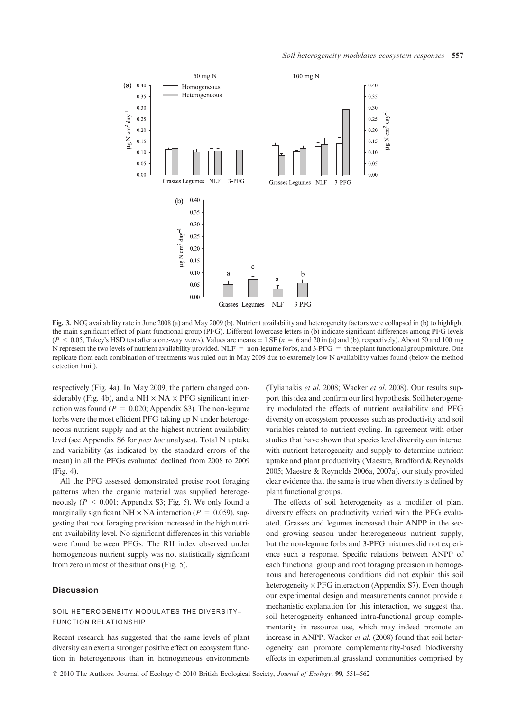

Fig. 3. NO<sub>3</sub> availability rate in June 2008 (a) and May 2009 (b). Nutrient availability and heterogeneity factors were collapsed in (b) to highlight the main significant effect of plant functional group (PFG). Different lowercase letters in (b) indicate significant differences among PFG levels  $(P < 0.05$ , Tukey's HSD test after a one-way ANOVA). Values are means  $\pm 1$  SE  $(n = 6$  and 20 in (a) and (b), respectively). About 50 and 100 mg N represent the two levels of nutrient availability provided. NLF = non-legume forbs, and 3-PFG = three plant functional group mixture. One replicate from each combination of treatments was ruled out in May 2009 due to extremely low N availability values found (below the method detection limit).

respectively (Fig. 4a). In May 2009, the pattern changed considerably (Fig. 4b), and a NH  $\times$  NA  $\times$  PFG significant interaction was found ( $P = 0.020$ ; Appendix S3). The non-legume forbs were the most efficient PFG taking up N under heterogeneous nutrient supply and at the highest nutrient availability level (see Appendix S6 for post hoc analyses). Total N uptake and variability (as indicated by the standard errors of the mean) in all the PFGs evaluated declined from 2008 to 2009 (Fig. 4).

All the PFG assessed demonstrated precise root foraging patterns when the organic material was supplied heterogeneously ( $P \le 0.001$ ; Appendix S3; Fig. 5). We only found a marginally significant NH  $\times$  NA interaction ( $P = 0.059$ ), suggesting that root foraging precision increased in the high nutrient availability level. No significant differences in this variable were found between PFGs. The RII index observed under homogeneous nutrient supply was not statistically significant from zero in most of the situations (Fig. 5).

#### **Discussion**

#### SOIL HETEROGENEITY MODULATES THE DIVERSITY– FUNCTION RELATIONSHIP

Recent research has suggested that the same levels of plant diversity can exert a stronger positive effect on ecosystem function in heterogeneous than in homogeneous environments (Tylianakis et al. 2008; Wacker et al. 2008). Our results support this idea and confirm our first hypothesis. Soil heterogeneity modulated the effects of nutrient availability and PFG diversity on ecosystem processes such as productivity and soil variables related to nutrient cycling. In agreement with other studies that have shown that species level diversity can interact with nutrient heterogeneity and supply to determine nutrient uptake and plant productivity (Maestre, Bradford & Reynolds 2005; Maestre & Reynolds 2006a, 2007a), our study provided clear evidence that the same is true when diversity is defined by plant functional groups.

The effects of soil heterogeneity as a modifier of plant diversity effects on productivity varied with the PFG evaluated. Grasses and legumes increased their ANPP in the second growing season under heterogeneous nutrient supply, but the non-legume forbs and 3-PFG mixtures did not experience such a response. Specific relations between ANPP of each functional group and root foraging precision in homogenous and heterogeneous conditions did not explain this soil heterogeneity  $\times$  PFG interaction (Appendix S7). Even though our experimental design and measurements cannot provide a mechanistic explanation for this interaction, we suggest that soil heterogeneity enhanced intra-functional group complementarity in resource use, which may indeed promote an increase in ANPP. Wacker et al. (2008) found that soil heterogeneity can promote complementarity-based biodiversity effects in experimental grassland communities comprised by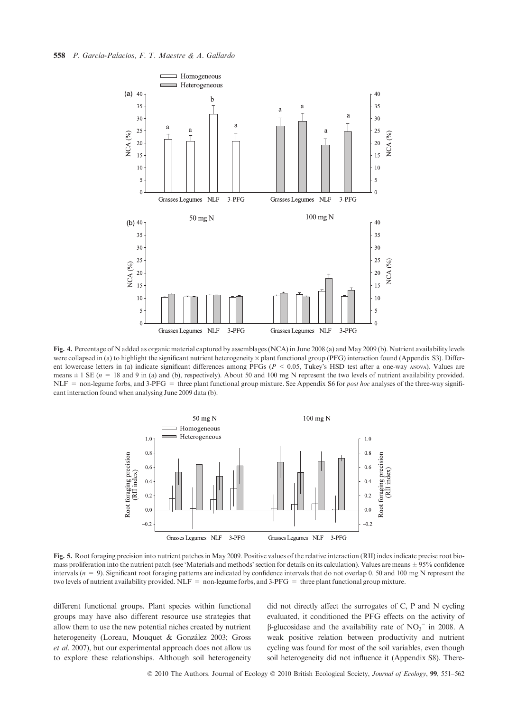

Fig. 4. Percentage of N added as organic material captured by assemblages (NCA) in June 2008 (a) and May 2009 (b). Nutrient availability levels were collapsed in (a) to highlight the significant nutrient heterogeneity  $\times$  plant functional group (PFG) interaction found (Appendix S3). Different lowercase letters in (a) indicate significant differences among PFGs (P < 0.05, Tukey's HSD test after a one-way anova). Values are means  $\pm$  1 SE (n = 18 and 9 in (a) and (b), respectively). About 50 and 100 mg N represent the two levels of nutrient availability provided.  $NLF =$  non-legume forbs, and 3-PFG = three plant functional group mixture. See Appendix S6 for *post hoc* analyses of the three-way significant interaction found when analysing June 2009 data (b).



Fig. 5. Root foraging precision into nutrient patches in May 2009. Positive values of the relative interaction (RII) index indicate precise root biomass proliferation into the nutrient patch (see 'Materials and methods' section for details on its calculation). Values are means  $\pm$  95% confidence intervals ( $n = 9$ ). Significant root foraging patterns are indicated by confidence intervals that do not overlap 0. 50 and 100 mg N represent the two levels of nutrient availability provided. NLF = non-legume forbs, and  $3-PFG$  = three plant functional group mixture.

different functional groups. Plant species within functional groups may have also different resource use strategies that allow them to use the new potential niches created by nutrient heterogeneity (Loreau, Mouquet & González 2003; Gross et al. 2007), but our experimental approach does not allow us to explore these relationships. Although soil heterogeneity

did not directly affect the surrogates of C, P and N cycling evaluated, it conditioned the PFG effects on the activity of  $\beta$ -glucosidase and the availability rate of NO<sub>3</sub><sup>-</sup> in 2008. A weak positive relation between productivity and nutrient cycling was found for most of the soil variables, even though soil heterogeneity did not influence it (Appendix S8). There-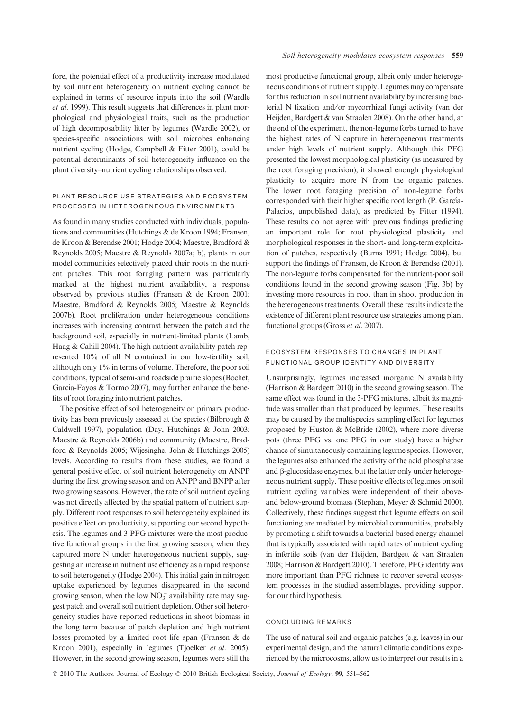fore, the potential effect of a productivity increase modulated by soil nutrient heterogeneity on nutrient cycling cannot be explained in terms of resource inputs into the soil (Wardle et al. 1999). This result suggests that differences in plant morphological and physiological traits, such as the production of high decomposability litter by legumes (Wardle 2002), or species-specific associations with soil microbes enhancing nutrient cycling (Hodge, Campbell & Fitter 2001), could be potential determinants of soil heterogeneity influence on the plant diversity–nutrient cycling relationships observed.

#### PLANT RESOURCE USE STRATEGIES AND ECOSYSTEM PROCESSES IN HETEROGENEOUS ENVIRONMENTS

As found in many studies conducted with individuals, populations and communities (Hutchings & de Kroon 1994; Fransen, de Kroon & Berendse 2001; Hodge 2004; Maestre, Bradford & Reynolds 2005; Maestre & Reynolds 2007a; b), plants in our model communities selectively placed their roots in the nutrient patches. This root foraging pattern was particularly marked at the highest nutrient availability, a response observed by previous studies (Fransen & de Kroon 2001; Maestre, Bradford & Reynolds 2005; Maestre & Reynolds 2007b). Root proliferation under heterogeneous conditions increases with increasing contrast between the patch and the background soil, especially in nutrient-limited plants (Lamb, Haag & Cahill 2004). The high nutrient availability patch represented 10% of all N contained in our low-fertility soil, although only 1% in terms of volume. Therefore, the poor soil conditions, typical of semi-arid roadside prairie slopes (Bochet, Garcia-Fayos & Tormo 2007), may further enhance the benefits of root foraging into nutrient patches.

The positive effect of soil heterogeneity on primary productivity has been previously assessed at the species (Bilbrough & Caldwell 1997), population (Day, Hutchings & John 2003; Maestre & Reynolds 2006b) and community (Maestre, Bradford & Reynolds 2005; Wijesinghe, John & Hutchings 2005) levels. According to results from these studies, we found a general positive effect of soil nutrient heterogeneity on ANPP during the first growing season and on ANPP and BNPP after two growing seasons. However, the rate of soil nutrient cycling was not directly affected by the spatial pattern of nutrient supply. Different root responses to soil heterogeneity explained its positive effect on productivity, supporting our second hypothesis. The legumes and 3-PFG mixtures were the most productive functional groups in the first growing season, when they captured more N under heterogeneous nutrient supply, suggesting an increase in nutrient use efficiency as a rapid response to soil heterogeneity (Hodge 2004). This initial gain in nitrogen uptake experienced by legumes disappeared in the second growing season, when the low  $NO_3^-$  availability rate may suggest patch and overall soil nutrient depletion. Other soil heterogeneity studies have reported reductions in shoot biomass in the long term because of patch depletion and high nutrient losses promoted by a limited root life span (Fransen & de Kroon 2001), especially in legumes (Tjoelker et al. 2005). However, in the second growing season, legumes were still the

most productive functional group, albeit only under heterogeneous conditions of nutrient supply. Legumes may compensate for this reduction in soil nutrient availability by increasing bacterial N fixation and⁄ or mycorrhizal fungi activity (van der Heijden, Bardgett & van Straalen 2008). On the other hand, at the end of the experiment, the non-legume forbs turned to have the highest rates of N capture in heterogeneous treatments under high levels of nutrient supply. Although this PFG presented the lowest morphological plasticity (as measured by the root foraging precision), it showed enough physiological plasticity to acquire more N from the organic patches. The lower root foraging precision of non-legume forbs corresponded with their higher specific root length (P. García-Palacios, unpublished data), as predicted by Fitter (1994). These results do not agree with previous findings predicting an important role for root physiological plasticity and morphological responses in the short- and long-term exploitation of patches, respectively (Burns 1991; Hodge 2004), but support the findings of Fransen, de Kroon & Berendse (2001). The non-legume forbs compensated for the nutrient-poor soil conditions found in the second growing season (Fig. 3b) by investing more resources in root than in shoot production in the heterogeneous treatments. Overall these results indicate the existence of different plant resource use strategies among plant functional groups (Gross et al. 2007).

## ECOSYSTEM RESPONSES TO CHANGES IN PLANT FUNCTIONAL GROUP IDENTITY AND DIVERSITY

Unsurprisingly, legumes increased inorganic N availability (Harrison & Bardgett 2010) in the second growing season. The same effect was found in the 3-PFG mixtures, albeit its magnitude was smaller than that produced by legumes. These results may be caused by the multispecies sampling effect for legumes proposed by Huston & McBride (2002), where more diverse pots (three PFG vs. one PFG in our study) have a higher chance of simultaneously containing legume species. However, the legumes also enhanced the activity of the acid phosphatase and  $\beta$ -glucosidase enzymes, but the latter only under heterogeneous nutrient supply. These positive effects of legumes on soil nutrient cycling variables were independent of their aboveand below-ground biomass (Stephan, Meyer & Schmid 2000). Collectively, these findings suggest that legume effects on soil functioning are mediated by microbial communities, probably by promoting a shift towards a bacterial-based energy channel that is typically associated with rapid rates of nutrient cycling in infertile soils (van der Heijden, Bardgett & van Straalen 2008; Harrison & Bardgett 2010). Therefore, PFG identity was more important than PFG richness to recover several ecosystem processes in the studied assemblages, providing support for our third hypothesis.

### CONCLUDING REMARKS

The use of natural soil and organic patches (e.g. leaves) in our experimental design, and the natural climatic conditions experienced by the microcosms, allow us to interpret our results in a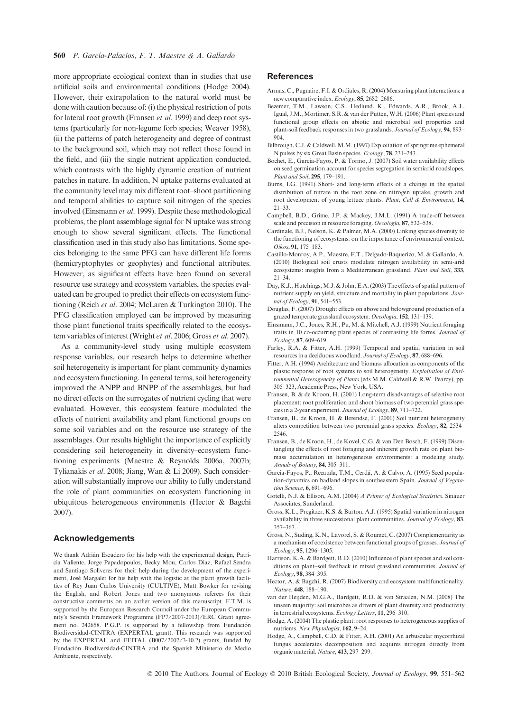more appropriate ecological context than in studies that use artificial soils and environmental conditions (Hodge 2004). However, their extrapolation to the natural world must be done with caution because of: (i) the physical restriction of pots for lateral root growth (Fransen et al. 1999) and deep root systems (particularly for non-legume forb species; Weaver 1958), (ii) the patterns of patch heterogeneity and degree of contrast to the background soil, which may not reflect those found in the field, and (iii) the single nutrient application conducted, which contrasts with the highly dynamic creation of nutrient patches in nature. In addition, N uptake patterns evaluated at the community level may mix different root–shoot partitioning and temporal abilities to capture soil nitrogen of the species involved (Einsmann et al. 1999). Despite these methodological problems, the plant assemblage signal for N uptake was strong enough to show several significant effects. The functional classification used in this study also has limitations. Some species belonging to the same PFG can have different life forms (hemicryptophytes or geophytes) and functional attributes. However, as significant effects have been found on several resource use strategy and ecosystem variables, the species evaluated can be grouped to predict their effects on ecosystem functioning (Reich et al. 2004; McLaren & Turkington 2010). The PFG classification employed can be improved by measuring those plant functional traits specifically related to the ecosystem variables of interest (Wright et al. 2006; Gross et al. 2007).

As a community-level study using multiple ecosystem response variables, our research helps to determine whether soil heterogeneity is important for plant community dynamics and ecosystem functioning. In general terms, soil heterogeneity improved the ANPP and BNPP of the assemblages, but had no direct effects on the surrogates of nutrient cycling that were evaluated. However, this ecosystem feature modulated the effects of nutrient availability and plant functional groups on some soil variables and on the resource use strategy of the assemblages. Our results highlight the importance of explicitly considering soil heterogeneity in diversity–ecosystem functioning experiments (Maestre & Reynolds 2006a, 2007b; Tylianakis et al. 2008; Jiang, Wan & Li 2009). Such consideration will substantially improve our ability to fully understand the role of plant communities on ecosystem functioning in ubiquitous heterogeneous environments (Hector & Bagchi 2007).

#### Acknowledgements

We thank Adrián Escudero for his help with the experimental design, Patricia Valiente, Jorge Papadopoulos, Becky Mou, Carlos Díaz, Rafael Sendra and Santiago Soliveres for their help during the development of the experiment, José Margalet for his help with the logistic at the plant growth facilities of Rey Juan Carlos University (CULTIVE), Matt Bowker for revising the English, and Robert Jones and two anonymous referees for their constructive comments on an earlier version of this manuscript. F.T.M. is supported by the European Research Council under the European Community's Seventh Framework Programme (FP7/2007-2013)/ERC Grant agreement no. 242658. P.G.P. is supported by a fellowship from Fundación Biodiversidad-CINTRA (EXPERTAL grant). This research was supported by the EXPERTAL and EFITAL (B007/2007/3-10.2) grants, funded by Fundación Biodiversidad-CINTRA and the Spanish Ministerio de Medio Ambiente, respectively.

#### **References**

- Armas, C., Pugnaire, F.I. & Ordiales, R. (2004) Measuring plant interactions: a new comparative index. Ecology, 85, 2682–2686.
- Bezemer, T.M., Lawson, C.S., Hedlund, K., Edwards, A.R., Brook, A.J., Igual, J.M., Mortimer, S.R. & van der Putten, W.H. (2006) Plant species and functional group effects on abiotic and microbial soil properties and plant-soil feedback responses in two grasslands. Journal of Ecology, 94, 893– 904.
- Bilbrough, C.J. & Caldwell, M.M. (1997) Exploitation of springtime ephemeral N pulses by six Great Basin species. Ecology, 78, 231–243.
- Bochet, E., Garcia-Fayos, P. & Tormo, J. (2007) Soil water availability effects on seed germination account for species segregation in semiarid roadslopes. Plant and Soil, 295, 179–191.
- Burns, I.G. (1991) Short- and long-term effects of a change in the spatial distribution of nitrate in the root zone on nitrogen uptake, growth and root development of young lettuce plants. Plant, Cell & Environment, 14, 21–33.
- Campbell, B.D., Grime, J.P. & Mackey, J.M.L. (1991) A trade-off between scale and precision in resource foraging. Oecologia, 87, 532–538.
- Cardinale, B.J., Nelson, K. & Palmer, M.A. (2000) Linking species diversity to the functioning of ecosystems: on the importance of environmental context. Oikos, 91, 175–183.
- Castillo-Monroy, A.P., Maestre, F.T., Delgado-Baquerizo, M. & Gallardo, A. (2010) Biological soil crusts modulate nitrogen availability in semi-arid ecosystems: insights from a Mediterranean grassland. Plant and Soil, 333, 21–34.
- Day, K.J., Hutchings, M.J. & John, E.A. (2003) The effects of spatial pattern of nutrient supply on yield, structure and mortality in plant populations. Journal of Ecology, 91, 541–553.
- Douglas, F. (2007) Drought effects on above and belowground production of a grazed temperate grassland ecosystem. Oecologia, 152, 131-139.
- Einsmann, J.C., Jones, R.H., Pu, M. & Mitchell, A.J. (1999) Nutrient foraging traits in 10 co-occurring plant species of contrasting life forms. Journal of Ecology, 87, 609–619.
- Farley, R.A. & Fitter, A.H. (1999) Temporal and spatial variation in soil resources in a deciduous woodland. Journal of Ecology, 87, 688–696.
- Fitter, A.H. (1994) Architecture and biomass allocation as components of the plastic response of root systems to soil heterogeneity. Exploitation of Environmental Heterogeneity of Plants (eds M.M. Caldwell & R.W. Pearcy), pp. 305–323, Academic Press, New York, USA.
- Fransen, B. & de Kroon, H. (2001) Long-term disadvantages of selective root placement: root proliferation and shoot biomass of two perennial grass species in a 2-year experiment. Journal of Ecology, 89, 711–722.
- Fransen, B., de Kroon, H. & Berendse, F. (2001) Soil nutrient heterogeneity alters competition between two perennial grass species. Ecology, 82, 2534– 2546.
- Fransen, B., de Kroon, H., de Kovel, C.G. & van Den Bosch, F. (1999) Disentangling the effects of root foraging and inherent growth rate on plant biomass accumulation in heterogeneous environments: a modeling study. Annals of Botany, 84, 305–311.
- Garcia-Fayos, P., Recatala, T.M., Cerdá, A. & Calvo, A. (1995) Seed population-dynamics on badland slopes in southeastern Spain. Journal of Vegetation Science, 6, 691–696.
- Gotelli, N.J. & Ellison, A.M. (2004) A Primer of Ecological Statistics. Sinauer Associates, Sunderland.
- Gross, K.L., Pregitzer, K.S. & Burton, A.J. (1995) Spatial variation in nitrogen availability in three successional plant communities. Journal of Ecology, 83, 357–367.
- Gross, N., Suding, K.N., Lavorel, S. & Roumet, C. (2007) Complementarity as a mechanism of coexistence between functional groups of grasses. Journal of Ecology, 95, 1296–1305.
- Harrison, K.A. & Bardgett, R.D. (2010) Influence of plant species and soil conditions on plant–soil feedback in mixed grassland communities. Journal of Ecology, 98, 384–395.
- Hector, A. & Bagchi, R. (2007) Biodiversity and ecosystem multifunctionality. Nature, 448, 188–190.
- van der Heijden, M.G.A., Bardgett, R.D. & van Straalen, N.M. (2008) The unseen majority: soil microbes as drivers of plant diversity and productivity in terrestrial ecosystems. Ecology Letters, 11, 296-310.
- Hodge, A. (2004) The plastic plant: root responses to heterogeneous supplies of nutrients. New Phytologist, 162, 9–24.
- Hodge, A., Campbell, C.D. & Fitter, A.H. (2001) An arbuscular mycorrhizal fungus accelerates decomposition and acquires nitrogen directly from organic material. Nature, 413, 297–299.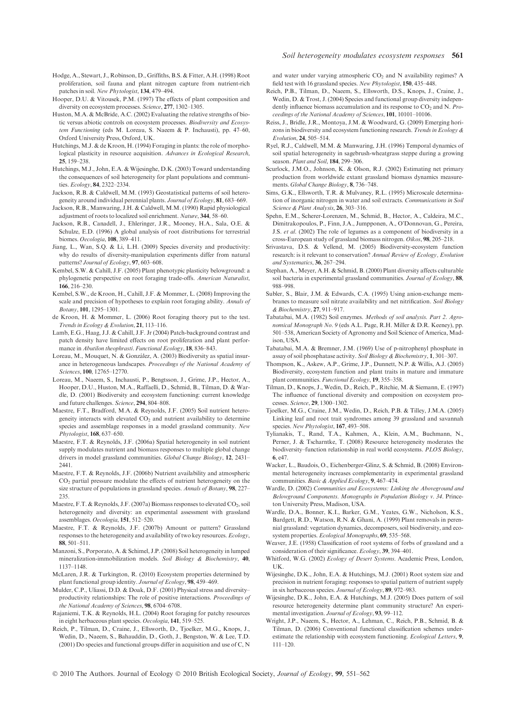- Hodge, A., Stewart, J., Robinson, D., Griffiths, B.S. & Fitter, A.H. (1998) Root proliferation, soil fauna and plant nitrogen capture from nutrient-rich patches in soil. New Phytologist, 134, 479–494.
- Hooper, D.U. & Vitousek, P.M. (1997) The effects of plant composition and diversity on ecosystem processes. Science, 277, 1302–1305.
- Huston, M.A. & McBride, A.C. (2002) Evaluating the relative strengths of biotic versus abiotic controls on ecosystem processes. Biodiversity and Ecosystem Functioning (eds M. Loreau, S. Naeem & P. Inchausti), pp. 47–60, Oxford University Press, Oxford, UK.
- Hutchings, M.J. & de Kroon, H. (1994) Foraging in plants: the role of morphological plasticity in resource acquisition. Advances in Ecological Research, 25, 159–238.
- Hutchings, M.J., John, E.A. & Wijesinghe, D.K. (2003) Toward understanding the consequences of soil heterogeneity for plant populations and communities. Ecology, 84, 2322–2334.
- Jackson, R.B. & Caldwell, M.M. (1993) Geostatistical patterns of soil heterogeneity around individual perennial plants. Journal of Ecology, 81, 683–669.
- Jackson, R.B., Manwaring, J.H. & Caldwell, M.M. (1990) Rapid physiological adjustment of roots to localized soil enrichment. Nature, 344, 58–60.
- Jackson, R.B., Canadell, J., Ehleringer, J.R., Mooney, H.A., Sala, O.E. & Schulze, E.D. (1996) A global analysis of root distributions for terrestrial biomes. Oecologia, 108, 389–411.
- Jiang, L., Wan, S.Q. & Li, L.H. (2009) Species diversity and productivity: why do results of diversity-manipulation experiments differ from natural patterns? Journal of Ecology, 97, 603-608.
- Kembel, S.W. & Cahill, J.F. (2005) Plant phenotypic plasticity belowground: a phylogenetic perspective on root foraging trade-offs. American Naturalist, 166, 216–230.
- Kembel, S.W., de Kroon, H., Cahill, J.F. & Mommer, L. (2008) Improving the scale and precision of hypotheses to explain root foraging ability. Annals of Botany, 101, 1295–1301.
- de Kroon, H. & Mommer, L. (2006) Root foraging theory put to the test. Trends in Ecology & Evolution, 21, 113–116.
- Lamb, E.G., Haag, J.J. & Cahill, J.F. Jr (2004) Patch-background contrast and patch density have limited effects on root proliferation and plant performance in Abutilon theophrasti. Functional Ecology, 18, 836–843.
- Loreau, M., Mouquet, N. & González, A. (2003) Biodiversity as spatial insurance in heterogeneous landscapes. Proceedings of the National Academy of Sciences, 100, 12765–12770.
- Loreau, M., Naeem, S., Inchausti, P., Bengtsson, J., Grime, J.P., Hector, A., Hooper, D.U., Huston, M.A., Raffaelli, D., Schmid, B., Tilman, D. & Wardle, D. (2001) Biodiversity and ecosystem functioning: current knowledge and future challenges. Science, 294, 804–808.
- Maestre, F.T., Bradford, M.A. & Reynolds, J.F. (2005) Soil nutrient heterogeneity interacts with elevated  $CO<sub>2</sub>$  and nutrient availability to determine species and assemblage responses in a model grassland community. New Phytologist, 168, 637–650.
- Maestre, F.T. & Reynolds, J.F. (2006a) Spatial heterogeneity in soil nutrient supply modulates nutrient and biomass responses to multiple global change drivers in model grassland communities. Global Change Biology, 12, 2431-2441.
- Maestre, F.T. & Reynolds, J.F. (2006b) Nutrient availability and atmospheric CO2 partial pressure modulate the effects of nutrient heterogeneity on the size structure of populations in grassland species. Annals of Botany, 98, 227– 235.
- Maestre, F.T. & Reynolds, J.F. (2007a) Biomass responses to elevated CO<sub>2</sub>, soil heterogeneity and diversity: an experimental assessment with grassland assemblages. Oecologia, 151, 512–520.
- Maestre, F.T. & Reynolds, J.F. (2007b) Amount or pattern? Grassland responses to the heterogeneity and availability of two key resources. Ecology, 88, 501–511.
- Manzoni, S., Porporato, A. & Schimel, J.P. (2008) Soil heterogeneity in lumped mineralization-immobilization models. Soil Biology & Biochemistry, 40, 1137–1148.
- McLaren, J.R. & Turkington, R. (2010) Ecosystem properties determined by plant functional group identity. Journal of Ecology, 98, 459–469.
- Mulder, C.P., Uliassi, D.D. & Doak, D.F. (2001) Physical stress and diversity– productivity relationships: The role of positive interactions. Proceedings of the National Academy of Sciences, 98, 6704–6708.
- Rajaniemi, T.K. & Reynolds, H.L. (2004) Root foraging for patchy resources in eight herbaceous plant species. Oecologia, 141, 519–525.
- Reich, P., Tilman, D., Craine, J., Ellsworth, D., Tjoelker, M.G., Knops, J., Wedin, D., Naeem, S., Bahauddin, D., Goth, J., Bengston, W. & Lee, T.D. (2001) Do species and functional groups differ in acquisition and use of C, N

#### Soil heterogeneity modulates ecosystem responses 561

and water under varying atmospheric  $CO<sub>2</sub>$  and N availability regimes? A field test with 16 grassland species. New Phytologist, 150, 435–448.

- Reich, P.B., Tilman, D., Naeem, S., Ellsworth, D.S., Knops, J., Craine, J., Wedin, D. & Trost, J. (2004) Species and functional group diversity independently influence biomass accumulation and its response to  $CO<sub>2</sub>$  and N. Proceedings of the National Academy of Sciences, 101, 10101–10106.
- Reiss, J., Bridle, J.R., Montoya, J.M. & Woodward, G. (2009) Emerging horizons in biodiversity and ecosystem functioning research. Trends in Ecology  $\&$ Evolution, 24, 505–514.
- Ryel, R.J., Caldwell, M.M. & Manwaring, J.H. (1996) Temporal dynamics of soil spatial heterogeneity in sagebrush-wheatgrass steppe during a growing season. Plant and Soil, 184, 299-306.
- Scurlock, J.M.O., Johnson, K. & Olson, R.J. (2002) Estimating net primary production from worldwide extant grassland biomass dynamics measurements. Global Change Biology, 8, 736–748.
- Sims, G.K., Ellsworth, T.R. & Mulvaney, R.L. (1995) Microscale determination of inorganic nitrogen in water and soil extracts. Communications in Soil Science & Plant Analysis, 26, 303-316.
- Spehn, E.M., Scherer-Lorenzen, M., Schmid, B., Hector, A., Caldeira, M.C., Dimitrakopoulos, P., Finn, J.A., Jumpponen, A., O'Donnovan, G., Pereira, J.S. et al. (2002) The role of legumes as a component of biodiversity in a cross-European study of grassland biomass nitrogen. Oikos, 98, 205–218.
- Srivastava, D.S. & Vellend, M. (2005) Biodiversity-ecosystem function research: is it relevant to conservation? Annual Review of Ecology, Evolution and Systematics, 36, 267–294.
- Stephan, A., Meyer, A.H. & Schmid, B. (2000) Plant diversity affects culturable soil bacteria in experimental grassland communities. *Journal of Ecology*, 88, 988–998.
- Subler, S., Blair, J.M. & Edwards, C.A. (1995) Using anion-exchange membranes to measure soil nitrate availability and net nitrification. Soil Biology & Biochemistry, 27, 911–917.
- Tabatabai, M.A. (1982) Soil enzymes. Methods of soil analysis. Part 2. Agronomical Monograph No. 9 (eds A.L. Page, R.H. Miller & D.R. Keeney), pp. 501–538, American Society of Agronomy and Soil Science of America, Madison, USA.
- Tabatabai, M.A. & Bremner, J.M. (1969) Use of p-nitrophenyl phosphate in assay of soil phosphatase activity. Soil Biology & Biochemistry, 1, 301–307.
- Thompson, K., Askew, A.P., Grime, J.P., Dunnett, N.P. & Willis, A.J. (2005) Biodiversity, ecosystem function and plant traits in mature and immature plant communities. Functional Ecology, 19, 355–358.
- Tilman, D., Knops, J., Wedin, D., Reich, P., Ritchie, M. & Siemann, E. (1997) The influence of functional diversity and composition on ecosystem processes. Science, 29, 1300–1302.
- Tjoelker, M.G., Craine, J.M., Wedin, D., Reich, P.B. & Tilley, J.M.A. (2005) Linking leaf and root trait syndromes among 39 grassland and savannah species. New Phytologist, 167, 493-508.
- Tylianakis, T., Rand, T.A., Kahmen, A., Klein, A.M., Buchmann, N., Perner, J. & Tscharntke, T. (2008) Resource heterogeneity moderates the biodiversity–function relationship in real world ecosystems. PLOS Biology, 6, e47.
- Wacker, L., Baudois, O., Eichenberger-Glinz, S. & Schmid, B. (2008) Environmental heterogeneity increases complementarity in experimental grassland communities. Basic & Applied Ecology, 9, 467–474.
- Wardle, D. (2002) Communities and Ecosystems: Linking the Aboveground and Belowground Components. Monographs in Population Biology v. 34. Princeton University Press, Madison, USA.
- Wardle, D.A., Bonner, K.I., Barker, G.M., Yeates, G.W., Nicholson, K.S., Bardgett, R.D., Watson, R.N. & Ghani, A. (1999) Plant removals in perennial grassland: vegetation dynamics, decomposers, soil biodiversity, and ecosystem properties. Ecological Monographs, 69, 535–568.
- Weaver, J.E. (1958) Classification of root systems of forbs of grassland and a consideration of their significance. Ecology, 39, 394–401.
- Whitford, W.G. (2002) Ecology of Desert Systems. Academic Press, London, UK.
- Wijesinghe, D.K., John, E.A. & Hutchings, M.J. (2001) Root system size and precision in nutrient foraging: responses to spatial pattern of nutrient supply in six herbaceous species. Journal of Ecology, 89, 972–983.
- Wijesinghe, D.K., John, E.A. & Hutchings, M.J. (2005) Does pattern of soil resource heterogeneity determine plant community structure? An experimental investigation. Journal of Ecology, 93, 99–112.
- Wright, J.P., Naeem, S., Hector, A., Lehman, C., Reich, P.B., Schmid, B. & Tilman, D. (2006) Conventional functional classification schemes underestimate the relationship with ecosystem functioning. Ecological Letters, 9, 111–120.